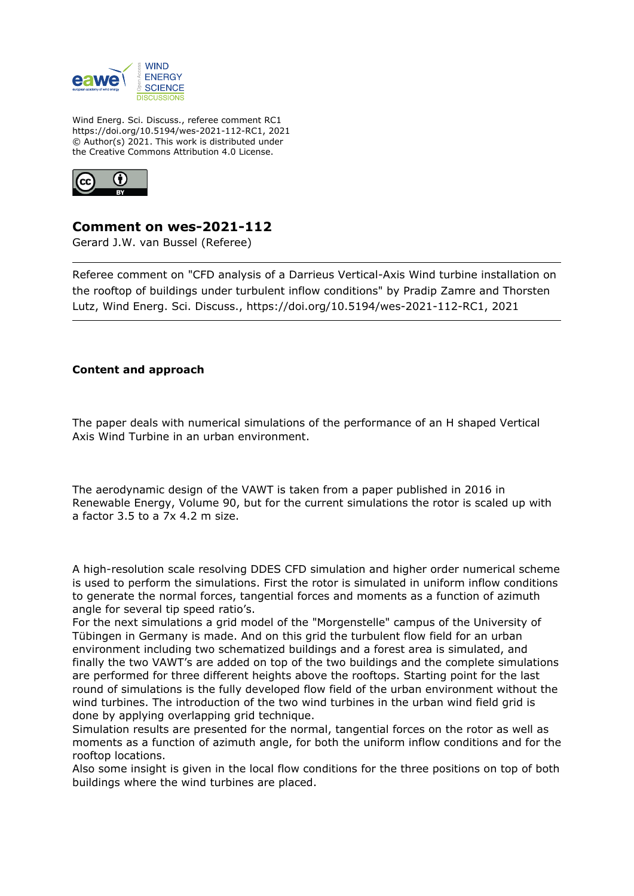

Wind Energ. Sci. Discuss., referee comment RC1 https://doi.org/10.5194/wes-2021-112-RC1, 2021 © Author(s) 2021. This work is distributed under the Creative Commons Attribution 4.0 License.



## **Comment on wes-2021-112**

Gerard J.W. van Bussel (Referee)

Referee comment on "CFD analysis of a Darrieus Vertical-Axis Wind turbine installation on the rooftop of buildings under turbulent inflow conditions" by Pradip Zamre and Thorsten Lutz, Wind Energ. Sci. Discuss., https://doi.org/10.5194/wes-2021-112-RC1, 2021

## **Content and approach**

The paper deals with numerical simulations of the performance of an H shaped Vertical Axis Wind Turbine in an urban environment.

The aerodynamic design of the VAWT is taken from a paper published in 2016 in Renewable Energy, Volume 90, but for the current simulations the rotor is scaled up with a factor 3.5 to a 7x 4.2 m size.

A high-resolution scale resolving DDES CFD simulation and higher order numerical scheme is used to perform the simulations. First the rotor is simulated in uniform inflow conditions to generate the normal forces, tangential forces and moments as a function of azimuth angle for several tip speed ratio's.

For the next simulations a grid model of the "Morgenstelle" campus of the University of Tübingen in Germany is made. And on this grid the turbulent flow field for an urban environment including two schematized buildings and a forest area is simulated, and finally the two VAWT's are added on top of the two buildings and the complete simulations are performed for three different heights above the rooftops. Starting point for the last round of simulations is the fully developed flow field of the urban environment without the wind turbines. The introduction of the two wind turbines in the urban wind field grid is done by applying overlapping grid technique.

Simulation results are presented for the normal, tangential forces on the rotor as well as moments as a function of azimuth angle, for both the uniform inflow conditions and for the rooftop locations.

Also some insight is given in the local flow conditions for the three positions on top of both buildings where the wind turbines are placed.